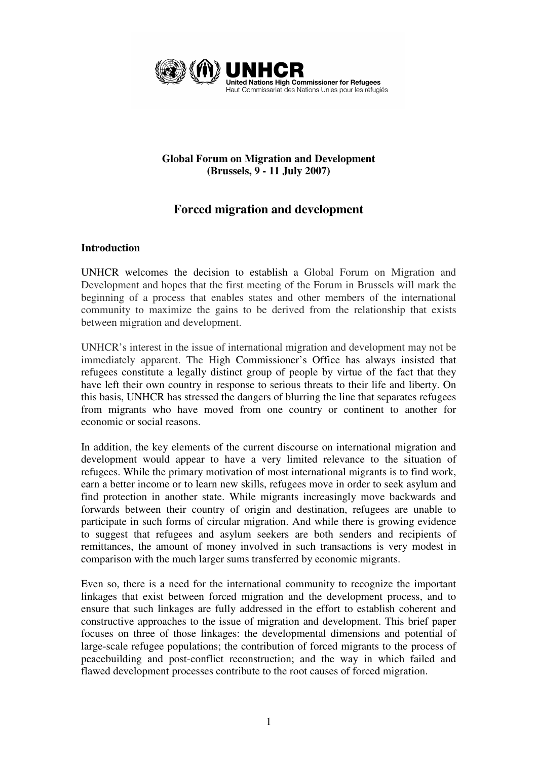

## **Global Forum on Migration and Development (Brussels, 9 - 11 July 2007)**

# **Forced migration and development**

## **Introduction**

UNHCR welcomes the decision to establish a Global Forum on Migration and Development and hopes that the first meeting of the Forum in Brussels will mark the beginning of a process that enables states and other members of the international community to maximize the gains to be derived from the relationship that exists between migration and development.

UNHCR's interest in the issue of international migration and development may not be immediately apparent. The High Commissioner's Office has always insisted that refugees constitute a legally distinct group of people by virtue of the fact that they have left their own country in response to serious threats to their life and liberty. On this basis, UNHCR has stressed the dangers of blurring the line that separates refugees from migrants who have moved from one country or continent to another for economic or social reasons.

In addition, the key elements of the current discourse on international migration and development would appear to have a very limited relevance to the situation of refugees. While the primary motivation of most international migrants is to find work, earn a better income or to learn new skills, refugees move in order to seek asylum and find protection in another state. While migrants increasingly move backwards and forwards between their country of origin and destination, refugees are unable to participate in such forms of circular migration. And while there is growing evidence to suggest that refugees and asylum seekers are both senders and recipients of remittances, the amount of money involved in such transactions is very modest in comparison with the much larger sums transferred by economic migrants.

Even so, there is a need for the international community to recognize the important linkages that exist between forced migration and the development process, and to ensure that such linkages are fully addressed in the effort to establish coherent and constructive approaches to the issue of migration and development. This brief paper focuses on three of those linkages: the developmental dimensions and potential of large-scale refugee populations; the contribution of forced migrants to the process of peacebuilding and post-conflict reconstruction; and the way in which failed and flawed development processes contribute to the root causes of forced migration.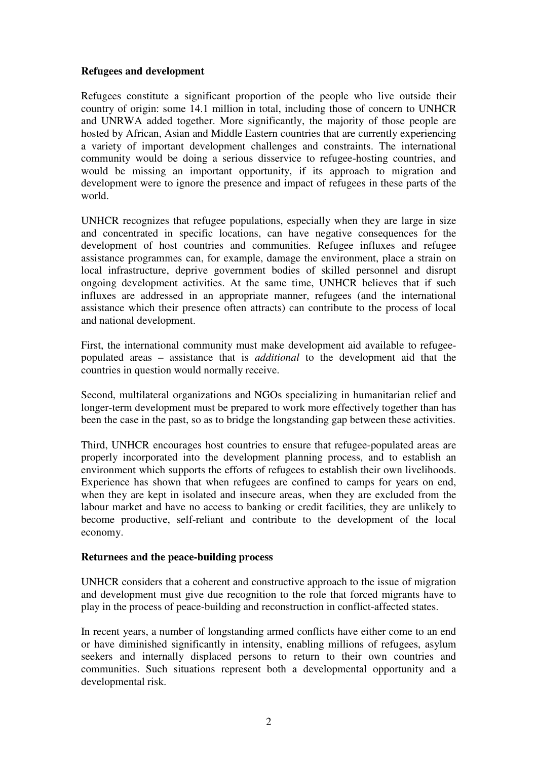## **Refugees and development**

Refugees constitute a significant proportion of the people who live outside their country of origin: some 14.1 million in total, including those of concern to UNHCR and UNRWA added together. More significantly, the majority of those people are hosted by African, Asian and Middle Eastern countries that are currently experiencing a variety of important development challenges and constraints. The international community would be doing a serious disservice to refugee-hosting countries, and would be missing an important opportunity, if its approach to migration and development were to ignore the presence and impact of refugees in these parts of the world.

UNHCR recognizes that refugee populations, especially when they are large in size and concentrated in specific locations, can have negative consequences for the development of host countries and communities. Refugee influxes and refugee assistance programmes can, for example, damage the environment, place a strain on local infrastructure, deprive government bodies of skilled personnel and disrupt ongoing development activities. At the same time, UNHCR believes that if such influxes are addressed in an appropriate manner, refugees (and the international assistance which their presence often attracts) can contribute to the process of local and national development.

First, the international community must make development aid available to refugeepopulated areas – assistance that is *additional* to the development aid that the countries in question would normally receive.

Second, multilateral organizations and NGOs specializing in humanitarian relief and longer-term development must be prepared to work more effectively together than has been the case in the past, so as to bridge the longstanding gap between these activities.

Third, UNHCR encourages host countries to ensure that refugee-populated areas are properly incorporated into the development planning process, and to establish an environment which supports the efforts of refugees to establish their own livelihoods. Experience has shown that when refugees are confined to camps for years on end, when they are kept in isolated and insecure areas, when they are excluded from the labour market and have no access to banking or credit facilities, they are unlikely to become productive, self-reliant and contribute to the development of the local economy.

#### **Returnees and the peace-building process**

UNHCR considers that a coherent and constructive approach to the issue of migration and development must give due recognition to the role that forced migrants have to play in the process of peace-building and reconstruction in conflict-affected states.

In recent years, a number of longstanding armed conflicts have either come to an end or have diminished significantly in intensity, enabling millions of refugees, asylum seekers and internally displaced persons to return to their own countries and communities. Such situations represent both a developmental opportunity and a developmental risk.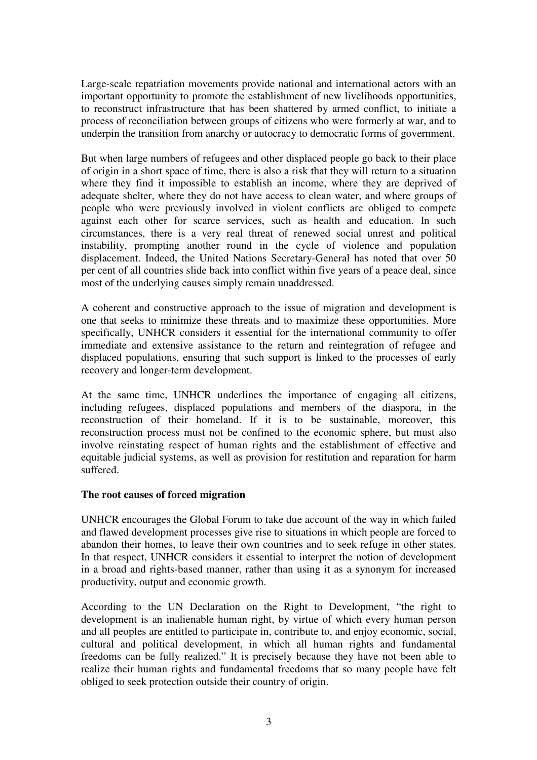Large-scale repatriation movements provide national and international actors with an important opportunity to promote the establishment of new livelihoods opportunities, to reconstruct infrastructure that has been shattered by armed conflict, to initiate a process of reconciliation between groups of citizens who were formerly at war, and to underpin the transition from anarchy or autocracy to democratic forms of government.

But when large numbers of refugees and other displaced people go back to their place of origin in a short space of time, there is also a risk that they will return to a situation where they find it impossible to establish an income, where they are deprived of adequate shelter, where they do not have access to clean water, and where groups of people who were previously involved in violent conflicts are obliged to compete against each other for scarce services, such as health and education. In such circumstances, there is a very real threat of renewed social unrest and political instability, prompting another round in the cycle of violence and population displacement. Indeed, the United Nations Secretary-General has noted that over 50 per cent of all countries slide back into conflict within five years of a peace deal, since most of the underlying causes simply remain unaddressed.

A coherent and constructive approach to the issue of migration and development is one that seeks to minimize these threats and to maximize these opportunities. More specifically, UNHCR considers it essential for the international community to offer immediate and extensive assistance to the return and reintegration of refugee and displaced populations, ensuring that such support is linked to the processes of early recovery and longer-term development.

At the same time, UNHCR underlines the importance of engaging all citizens, including refugees, displaced populations and members of the diaspora, in the reconstruction of their homeland. If it is to be sustainable, moreover, this reconstruction process must not be confined to the economic sphere, but must also involve reinstating respect of human rights and the establishment of effective and equitable judicial systems, as well as provision for restitution and reparation for harm suffered.

#### **The root causes of forced migration**

UNHCR encourages the Global Forum to take due account of the way in which failed and flawed development processes give rise to situations in which people are forced to abandon their homes, to leave their own countries and to seek refuge in other states. In that respect, UNHCR considers it essential to interpret the notion of development in a broad and rights-based manner, rather than using it as a synonym for increased productivity, output and economic growth.

According to the UN Declaration on the Right to Development, "the right to development is an inalienable human right, by virtue of which every human person and all peoples are entitled to participate in, contribute to, and enjoy economic, social, cultural and political development, in which all human rights and fundamental freedoms can be fully realized." It is precisely because they have not been able to realize their human rights and fundamental freedoms that so many people have felt obliged to seek protection outside their country of origin.